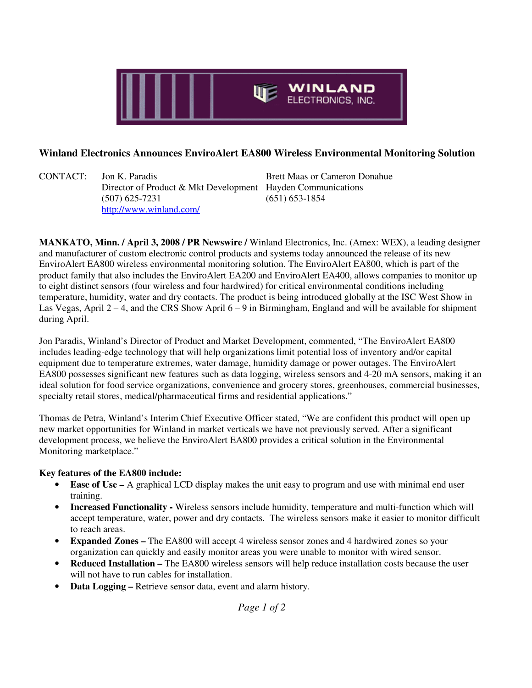

## **Winland Electronics Announces EnviroAlert EA800 Wireless Environmental Monitoring Solution**

CONTACT: Jon K. Paradis Brett Maas or Cameron Donahue Director of Product & Mkt Development Hayden Communications (507) 625-7231 (651) 653-1854 http://www.winland.com/

**MANKATO, Minn. / April 3, 2008 / PR Newswire /** Winland Electronics, Inc. (Amex: WEX), a leading designer and manufacturer of custom electronic control products and systems today announced the release of its new EnviroAlert EA800 wireless environmental monitoring solution. The EnviroAlert EA800, which is part of the product family that also includes the EnviroAlert EA200 and EnviroAlert EA400, allows companies to monitor up to eight distinct sensors (four wireless and four hardwired) for critical environmental conditions including temperature, humidity, water and dry contacts. The product is being introduced globally at the ISC West Show in Las Vegas, April  $2 - 4$ , and the CRS Show April  $6 - 9$  in Birmingham, England and will be available for shipment during April.

Jon Paradis, Winland's Director of Product and Market Development, commented, "The EnviroAlert EA800 includes leading-edge technology that will help organizations limit potential loss of inventory and/or capital equipment due to temperature extremes, water damage, humidity damage or power outages. The EnviroAlert EA800 possesses significant new features such as data logging, wireless sensors and 4-20 mA sensors, making it an ideal solution for food service organizations, convenience and grocery stores, greenhouses, commercial businesses, specialty retail stores, medical/pharmaceutical firms and residential applications."

Thomas de Petra, Winland's Interim Chief Executive Officer stated, "We are confident this product will open up new market opportunities for Winland in market verticals we have not previously served. After a significant development process, we believe the EnviroAlert EA800 provides a critical solution in the Environmental Monitoring marketplace."

## **Key features of the EA800 include:**

- **Ease of Use –** A graphical LCD display makes the unit easy to program and use with minimal end user training.
- **Increased Functionality -** Wireless sensors include humidity, temperature and multi-function which will accept temperature, water, power and dry contacts. The wireless sensors make it easier to monitor difficult to reach areas.
- **Expanded Zones** The EA800 will accept 4 wireless sensor zones and 4 hardwired zones so your organization can quickly and easily monitor areas you were unable to monitor with wired sensor.
- **Reduced Installation –** The EA800 wireless sensors will help reduce installation costs because the user will not have to run cables for installation.
- **Data Logging –** Retrieve sensor data, event and alarm history.

*Page 1 of 2*